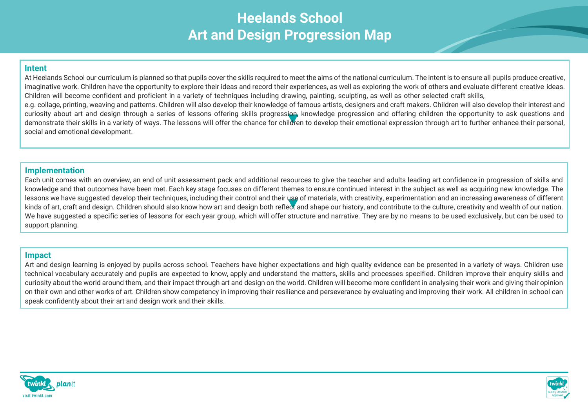# **Heelands School Art and Design Progression Map**

#### **Intent**

At Heelands School our curriculum is planned so that pupils cover the skills required to meet the aims of the national curriculum. The intent is to ensure all pupils produce creative, imaginative work. Children have the opportunity to explore their ideas and record their experiences, as well as exploring the work of others and evaluate different creative ideas. Children will become confident and proficient in a variety of techniques including drawing, painting, sculpting, as well as other selected craft skills, e.g. collage, printing, weaving and patterns. Children will also develop their knowledge of famous artists, designers and craft makers. Children will also develop their interest and curiosity about art and design through a series of lessons offering skills progression. knowledge progression and offering children the opportunity to ask questions and demonstrate their skills in a variety of ways. The lessons will offer the chance for children to develop their emotional expression through art to further enhance their personal, social and emotional development.

#### **Implementation**

Each unit comes with an overview, an end of unit assessment pack and additional resources to give the teacher and adults leading art confidence in progression of skills and knowledge and that outcomes have been met. Each key stage focuses on different themes to ensure continued interest in the subject as well as acquiring new knowledge. The lessons we have suggested develop their techniques, including their control and their use of materials, with creativity, experimentation and an increasing awareness of different kinds of art, craft and design. Children should also know how art and design both reflect and shape our history, and contribute to the culture, creativity and wealth of our nation. We have suggested a specific series of lessons for each year group, which will offer structure and narrative. They are by no means to be used exclusively, but can be used to support planning.

#### **Impact**

Art and design learning is enjoyed by pupils across school. Teachers have higher expectations and high quality evidence can be presented in a variety of wavs. Children use technical vocabulary accurately and pupils are expected to know, apply and understand the matters, skills and processes specified. Children improve their enquiry skills and curiosity about the world around them, and their impact through art and design on the world. Children will become more confident in analysing their work and giving their opinion on their own and other works of art. Children show competency in improving their resilience and perseverance by evaluating and improving their work. All children in school can speak confidently about their art and design work and their skills.



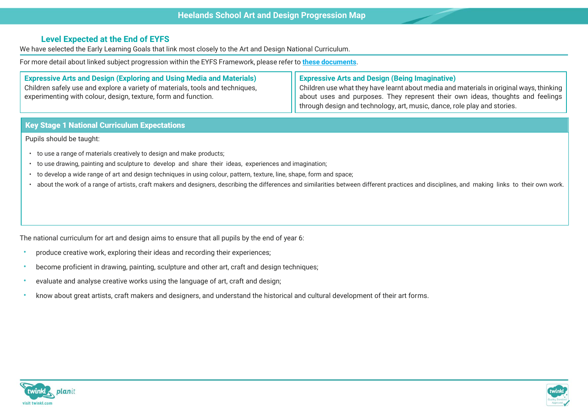## **Level Expected at the End of EYFS**

We have selected the Early Learning Goals that link most closely to the Art and Design National Curriculum.

For more detail about linked subject progression within the EYFS Framework, please refer to **these [documents](https://www.twinkl.co.uk/resource/learning-in-eyfs-what-subject-leaders-need-to-know-resource-pack-t-tp-2548825)**.

| <b>Expressive Arts and Design (Exploring and Using Media and Materials)</b>   | ( Expressive Arts and Design (Being Imaginative)                                                           |  |
|-------------------------------------------------------------------------------|------------------------------------------------------------------------------------------------------------|--|
| Children safely use and explore a variety of materials, tools and techniques, | $\Box$ Children use what they have learnt about media and materials in original ways, thinking $\parallel$ |  |
| experimenting with colour, design, texture, form and function.                | about uses and purposes. They represent their own ideas, thoughts and feelings                             |  |
|                                                                               | through design and technology, art, music, dance, role play and stories.                                   |  |

### **Key Stage 1 National Curriculum Expectations**

Pupils should be taught:

- to use a range of materials creatively to design and make products;
- to use drawing, painting and sculpture to develop and share their ideas, experiences and imagination;
- to develop a wide range of art and design techniques in using colour, pattern, texture, line, shape, form and space;
- about the work of a range of artists, craft makers and designers, describing the differences and similarities between different practices and disciplines, and making links to their own work.

The national curriculum for art and design aims to ensure that all pupils by the end of year 6:

- produce creative work, exploring their ideas and recording their experiences;
- become proficient in drawing, painting, sculpture and other art, craft and design techniques;
- evaluate and analyse creative works using the language of art, craft and design;
- know about great artists, craft makers and designers, and understand the historical and cultural development of their art forms.



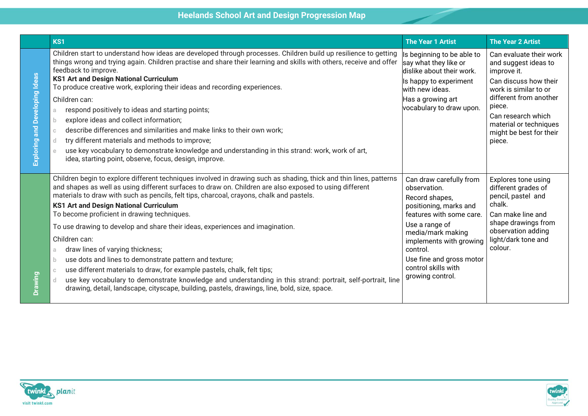|                                   | KS1                                                                                                                                                                                                                                                                                                                                                                                                                                                                                                                                                                                                                                                                                                                                                                                                                                                                                                                                                          | <b>The Year 1 Artist</b>                                                                                                                                                                                                                                             | <b>The Year 2 Artist</b>                                                                                                                                                                                                                  |
|-----------------------------------|--------------------------------------------------------------------------------------------------------------------------------------------------------------------------------------------------------------------------------------------------------------------------------------------------------------------------------------------------------------------------------------------------------------------------------------------------------------------------------------------------------------------------------------------------------------------------------------------------------------------------------------------------------------------------------------------------------------------------------------------------------------------------------------------------------------------------------------------------------------------------------------------------------------------------------------------------------------|----------------------------------------------------------------------------------------------------------------------------------------------------------------------------------------------------------------------------------------------------------------------|-------------------------------------------------------------------------------------------------------------------------------------------------------------------------------------------------------------------------------------------|
| and Developing Ideas<br>Exploring | Children start to understand how ideas are developed through processes. Children build up resilience to getting<br>things wrong and trying again. Children practise and share their learning and skills with others, receive and offer<br>feedback to improve.<br><b>KS1 Art and Design National Curriculum</b><br>To produce creative work, exploring their ideas and recording experiences.<br>Children can:<br>respond positively to ideas and starting points;<br>a.<br>explore ideas and collect information;<br>b.<br>describe differences and similarities and make links to their own work;<br>$\mathbb{C}$<br>try different materials and methods to improve;<br>d.<br>use key vocabulary to demonstrate knowledge and understanding in this strand: work, work of art,<br>e<br>idea, starting point, observe, focus, design, improve.                                                                                                              | Is beginning to be able to<br>say what they like or<br>dislike about their work.<br>Is happy to experiment<br>with new ideas.<br>Has a growing art<br>vocabulary to draw upon.                                                                                       | Can evaluate their work<br>and suggest ideas to<br>improve it.<br>Can discuss how their<br>work is similar to or<br>different from another<br>piece.<br>Can research which<br>material or techniques<br>might be best for their<br>piece. |
| Drawing                           | Children begin to explore different techniques involved in drawing such as shading, thick and thin lines, patterns<br>and shapes as well as using different surfaces to draw on. Children are also exposed to using different<br>materials to draw with such as pencils, felt tips, charcoal, crayons, chalk and pastels.<br><b>KS1 Art and Design National Curriculum</b><br>To become proficient in drawing techniques.<br>To use drawing to develop and share their ideas, experiences and imagination.<br>Children can:<br>draw lines of varying thickness;<br>a<br>use dots and lines to demonstrate pattern and texture;<br>$\mathbf b$<br>use different materials to draw, for example pastels, chalk, felt tips;<br>$\mathbb C$<br>use key vocabulary to demonstrate knowledge and understanding in this strand: portrait, self-portrait, line<br>d.<br>drawing, detail, landscape, cityscape, building, pastels, drawings, line, bold, size, space. | Can draw carefully from<br>observation.<br>Record shapes,<br>positioning, marks and<br>features with some care.<br>Use a range of<br>media/mark making<br>implements with growing<br>control.<br>Use fine and gross motor<br>control skills with<br>growing control. | Explores tone using<br>different grades of<br>pencil, pastel and<br>chalk.<br>Can make line and<br>shape drawings from<br>observation adding<br>light/dark tone and<br>colour.                                                            |



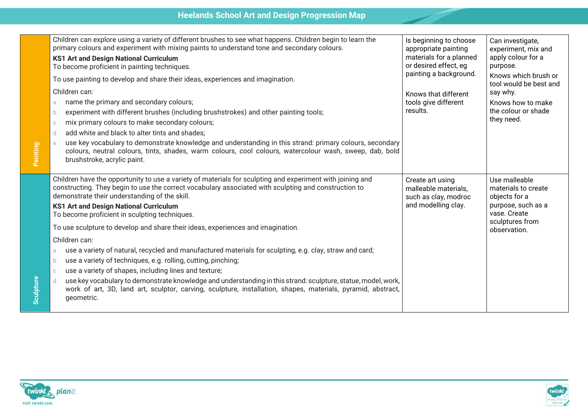|           | Children can explore using a variety of different brushes to see what happens. Children begin to learn the<br>primary colours and experiment with mixing paints to understand tone and secondary colours.<br><b>KS1 Art and Design National Curriculum</b><br>To become proficient in painting techniques.<br>To use painting to develop and share their ideas, experiences and imagination.<br>Children can:<br>name the primary and secondary colours;<br>a<br>experiment with different brushes (including brushstrokes) and other painting tools;<br>b.<br>mix primary colours to make secondary colours;<br>$\mathbb{C}$<br>add white and black to alter tints and shades;<br>d                                                                                                                                                                                                                                                                                                          | Is beginning to choose<br>appropriate painting<br>materials for a planned<br>or desired effect, eg<br>painting a background.<br>Knows that different<br>tools give different<br>results. | Can investigate,<br>experiment, mix and<br>apply colour for a<br>purpose.<br>Knows which brush or<br>tool would be best and<br>say why.<br>Knows how to make<br>the colour or shade<br>they need. |
|-----------|-----------------------------------------------------------------------------------------------------------------------------------------------------------------------------------------------------------------------------------------------------------------------------------------------------------------------------------------------------------------------------------------------------------------------------------------------------------------------------------------------------------------------------------------------------------------------------------------------------------------------------------------------------------------------------------------------------------------------------------------------------------------------------------------------------------------------------------------------------------------------------------------------------------------------------------------------------------------------------------------------|------------------------------------------------------------------------------------------------------------------------------------------------------------------------------------------|---------------------------------------------------------------------------------------------------------------------------------------------------------------------------------------------------|
| Painting  | use key vocabulary to demonstrate knowledge and understanding in this strand: primary colours, secondary<br>$\rm{e}$<br>colours, neutral colours, tints, shades, warm colours, cool colours, watercolour wash, sweep, dab, bold<br>brushstroke, acrylic paint.                                                                                                                                                                                                                                                                                                                                                                                                                                                                                                                                                                                                                                                                                                                                |                                                                                                                                                                                          |                                                                                                                                                                                                   |
| Sculpture | Children have the opportunity to use a variety of materials for sculpting and experiment with joining and<br>constructing. They begin to use the correct vocabulary associated with sculpting and construction to<br>demonstrate their understanding of the skill.<br><b>KS1 Art and Design National Curriculum</b><br>To become proficient in sculpting techniques.<br>To use sculpture to develop and share their ideas, experiences and imagination.<br>Children can:<br>use a variety of natural, recycled and manufactured materials for sculpting, e.g. clay, straw and card;<br>a<br>use a variety of techniques, e.g. rolling, cutting, pinching;<br>b.<br>use a variety of shapes, including lines and texture;<br>$\mathbb{C}$<br>use key vocabulary to demonstrate knowledge and understanding in this strand: sculpture, statue, model, work,<br>d.<br>work of art, 3D, land art, sculptor, carving, sculpture, installation, shapes, materials, pyramid, abstract,<br>geometric. | Create art using<br>malleable materials,<br>such as clay, modroc<br>and modelling clay.                                                                                                  | Use malleable<br>materials to create<br>objects for a<br>purpose, such as a<br>vase. Create<br>sculptures from<br>observation.                                                                    |



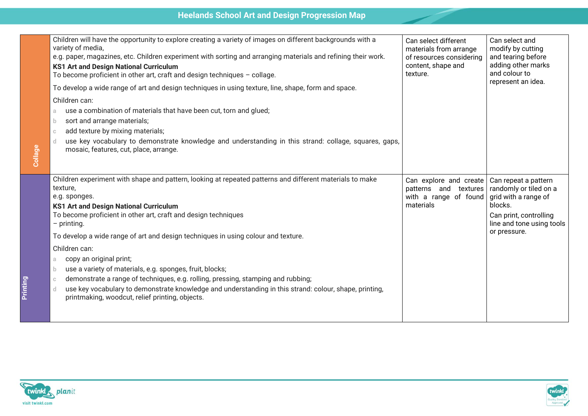| Collage | Children will have the opportunity to explore creating a variety of images on different backgrounds with a<br>variety of media,<br>e.g. paper, magazines, etc. Children experiment with sorting and arranging materials and refining their work.<br><b>KS1 Art and Design National Curriculum</b><br>To become proficient in other art, craft and design techniques $-$ collage.<br>To develop a wide range of art and design techniques in using texture, line, shape, form and space.<br>Children can:<br>use a combination of materials that have been cut, torn and glued;<br>a<br>sort and arrange materials;<br>b.<br>add texture by mixing materials;<br>$\mathbb{C}$<br>use key vocabulary to demonstrate knowledge and understanding in this strand: collage, squares, gaps,<br>-d<br>mosaic, features, cut, place, arrange. | Can select different<br>materials from arrange<br>of resources considering<br>content, shape and<br>texture. | Can select and<br>modify by cutting<br>and tearing before<br>adding other marks<br>and colour to<br>represent an idea.                                   |
|---------|---------------------------------------------------------------------------------------------------------------------------------------------------------------------------------------------------------------------------------------------------------------------------------------------------------------------------------------------------------------------------------------------------------------------------------------------------------------------------------------------------------------------------------------------------------------------------------------------------------------------------------------------------------------------------------------------------------------------------------------------------------------------------------------------------------------------------------------|--------------------------------------------------------------------------------------------------------------|----------------------------------------------------------------------------------------------------------------------------------------------------------|
|         |                                                                                                                                                                                                                                                                                                                                                                                                                                                                                                                                                                                                                                                                                                                                                                                                                                       |                                                                                                              |                                                                                                                                                          |
|         | Children experiment with shape and pattern, looking at repeated patterns and different materials to make<br>texture,<br>e.g. sponges.<br><b>KS1 Art and Design National Curriculum</b><br>To become proficient in other art, craft and design techniques<br>$-$ printing.<br>To develop a wide range of art and design techniques in using colour and texture.<br>Children can:<br>copy an original print;<br>a<br>use a variety of materials, e.g. sponges, fruit, blocks;<br>$\mathbf{D}$<br>demonstrate a range of techniques, e.g. rolling, pressing, stamping and rubbing;<br>-C<br>use key vocabulary to demonstrate knowledge and understanding in this strand: colour, shape, printing,<br>d<br>printmaking, woodcut, relief printing, objects.                                                                               | Can explore and create<br>patterns and textures<br>with a range of found<br>materials                        | Can repeat a pattern<br>randomly or tiled on a<br>grid with a range of<br>blocks.<br>Can print, controlling<br>line and tone using tools<br>or pressure. |



**Printing**